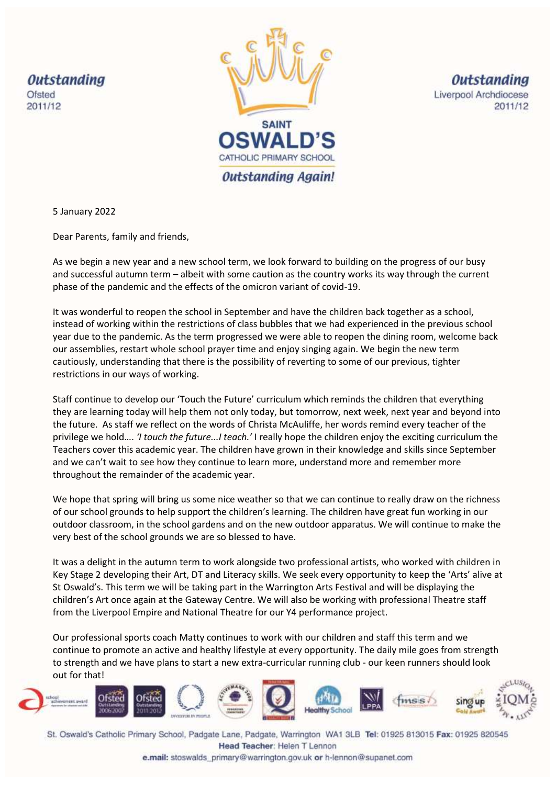**Outstanding** Ofsted 2011/12



**Outstanding** Liverpool Archdiocese 2011/12

5 January 2022

Dear Parents, family and friends,

As we begin a new year and a new school term, we look forward to building on the progress of our busy and successful autumn term – albeit with some caution as the country works its way through the current phase of the pandemic and the effects of the omicron variant of covid-19.

It was wonderful to reopen the school in September and have the children back together as a school, instead of working within the restrictions of class bubbles that we had experienced in the previous school year due to the pandemic. As the term progressed we were able to reopen the dining room, welcome back our assemblies, restart whole school prayer time and enjoy singing again. We begin the new term cautiously, understanding that there is the possibility of reverting to some of our previous, tighter restrictions in our ways of working.

Staff continue to develop our 'Touch the Future' curriculum which reminds the children that everything they are learning today will help them not only today, but tomorrow, next week, next year and beyond into the future. As staff we reflect on the words of Christa McAuliffe, her words remind every teacher of the privilege we hold…. *'I touch the future...I teach.'* I really hope the children enjoy the exciting curriculum the Teachers cover this academic year. The children have grown in their knowledge and skills since September and we can't wait to see how they continue to learn more, understand more and remember more throughout the remainder of the academic year.

We hope that spring will bring us some nice weather so that we can continue to really draw on the richness of our school grounds to help support the children's learning. The children have great fun working in our outdoor classroom, in the school gardens and on the new outdoor apparatus. We will continue to make the very best of the school grounds we are so blessed to have.

It was a delight in the autumn term to work alongside two professional artists, who worked with children in Key Stage 2 developing their Art, DT and Literacy skills. We seek every opportunity to keep the 'Arts' alive at St Oswald's. This term we will be taking part in the Warrington Arts Festival and will be displaying the children's Art once again at the Gateway Centre. We will also be working with professional Theatre staff from the Liverpool Empire and National Theatre for our Y4 performance project.

Our professional sports coach Matty continues to work with our children and staff this term and we continue to promote an active and healthy lifestyle at every opportunity. The daily mile goes from strength to strength and we have plans to start a new extra-curricular running club - our keen runners should look out for that!



St. Oswald's Catholic Primary School, Padgate Lane, Padgate, Warrington WA1 3LB Tel: 01925 813015 Fax: 01925 820545 Head Teacher: Helen T Lennon

e.mail: stoswalds\_primary@warrington.gov.uk or h-lennon@supanet.com